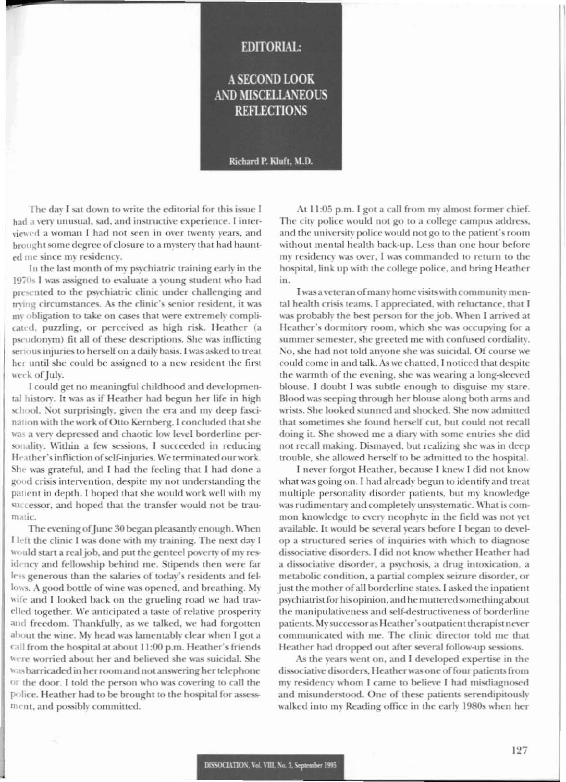## **EDITORIAL:**

## A SECOND LOOK **AND MISCELLANEOUS REFLECTIONS**

### Richard P. Kluft, M.D.

The day I sat down to write the editorial for this issue I had a very unusual, sad, and instructive experience. I interviewed a woman I had not seen in over twenty years, and brought some degree of closure to a mystery that had haunted me since my residency.

In the last month of my psychiatric training early in the 1970s I was assigned to evaluate a young student who had presented to the psychiatric clinic under challenging and trying circumstances. As the clinic's senior resident, it was my obligation to take on cases that were extremely complicated, puzzling, or perceived as high risk. Heather (a pseudonym) fit all of these descriptions. She was inflicting serious injuries to herself on a daily basis. I was asked to treat her until she could be assigned to a new resident the first week of July.

I could get no meaningful childhood and developmental history. It was as if Heather had begun her life in high school. Not surprisingly, given the era and my deep fascination with the work of Otto Kernberg, I concluded that she was a very depressed and chaotic low level borderline personality. Within a few sessions, I succeeded in reducing Heather's infliction of self-injuries. We terminated our work. She was grateful, and I had the feeling that I had done a good crisis intervention, despite my not understanding the patient in depth. I hoped that she would work well with my successor, and hoped that the transfer would not be traumatic.

The evening of June 30 began pleasantly enough. When I left the clinic I was done with my training. The next day I would start a real job, and put the genteel poverty of my residency and fellowship behind me. Stipends then were far less generous than the salaries of today's residents and fellows. A good bottle of wine was opened, and breathing. My wife and I looked back on the grueling road we had travelled together. We anticipated a taste of relative prosperity and freedom. Thankfully, as we talked, we had forgotten about the wine. My head was lamentably clear when I got a call from the hospital at about 11:00 p.m. Heather's friends were worried about her and believed she was suicidal. She was barricaded in her room and not answering her telephone or the door. I told the person who was covering to call the police. Heather had to be brought to the hospital for assessment, and possibly committed.

At 11:05 p.m. I got a call from my almost former chief. The city police would not go to a college campus address, and the university police would not go to the patient's room without mental health back-up. Less than one hour before my residency was over, I was commanded to return to the hospital, link up with the college police, and bring Heather in.

I was a veteran of many home visits with community mental health crisis teams. I appreciated, with reluctance, that I was probably the best person for the job. When I arrived at Heather's dormitory room, which she was occupying for a summer semester, she greeted me with confused cordiality. No, she had not told anyone she was suicidal. Of course we could come in and talk. As we chatted, I noticed that despite the warmth of the evening, she was wearing a long-sleeved blouse. I doubt I was subtle enough to disguise my stare. Blood was seeping through her blouse along both arms and wrists. She looked stunned and shocked. She now admitted that sometimes she found herself cut, but could not recall doing it. She showed me a diary with some entries she did not recall making. Dismayed, but realizing she was in deep trouble, she allowed herself to be admitted to the hospital.

I never forgot Heather, because I knew I did not know what was going on. I had already begun to identify and treat multiple personality disorder patients, but my knowledge was rudimentary and completely unsystematic. What is common knowledge to every neophyte in the field was not yet available. It would be several years before I began to develop a structured series of inquiries with which to diagnose dissociative disorders. I did not know whether Heather had a dissociative disorder, a psychosis, a drug intoxication, a metabolic condition, a partial complex seizure disorder, or just the mother of all borderline states. I asked the inpatient psychiatrist for his opinion, and he muttered something about the manipulativeness and self-destructiveness of borderline patients. My successor as Heather's outpatient therapist never communicated with me. The clinic director told me that Heather had dropped out after several follow-up sessions.

As the years went on, and I developed expertise in the dissociative disorders, Heather was one of four patients from my residency whom I came to believe I had misdiagnosed and misunderstood. One of these patients serendipitously walked into my Reading office in the early 1980s when her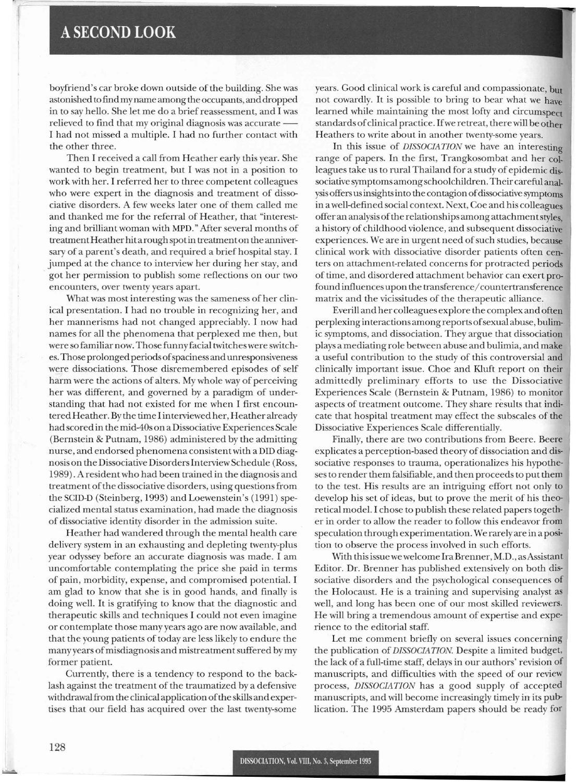# A**SECOND LOOK**

boyfriend's car broke down outside of the building. She was astonished to find my name among the occupants, and dropped in to say hello. She let me do a brief reassessment, and I was relieved to find that my original diagnosis was accurate -I had not missed a multiple. I had no further contact with the other three.

Then I received a call from Heather early this year. She wanted to begin treatment, but I was not in a position to work with her. I referred her to three competent colleagues who were expert in the diagnosis and treatment of dissociative disorders. A few weeks later one of them called me and thanked me for the referral of Heather, that "interesting and brilliant woman with MPO." After several months of treatment Heather hitarough spotin treatmenton the anniversary of a parent's death, and required a brief hospital stay. I jumped at the chance to interview her during her stay, and got her permission to publish some reflections on our two encounters, over twenty years apart.

What was most interesting was the sameness of her clinical presentation. I had no trouble in recognizing her, and her mannerisms had not changed appreciably. I now had names for all the phenomena that perplexed me then, but were so familiar now. Those funny facial twitches were switches. Those prolonged periods ofspaciness and unresponsiveness were dissociations. Those disremembered episodes of self harm were the actions of alters. My whole way of perceiving her was different, and governed by a paradigm of understanding that had not existed for me when I first encountered Heather. By the time I interviewed her, Heather already had scored in the mid-40s on a Dissociative Experiences Scale (Bernstein & Putnam, 1986) administered by the admitting nurse, and endorsed phenomena consistent with a DID diagnosison the Dissociative DisorderslnterviewSchedule (Ross, 1989). A resident who had been trained in the diagnosis and treatment of the dissociative disorders, using questions from theSCID-O (Steinberg, 1993) and Loewenstein's (1991) specialized mental status examination, had made the diagnosis of dissociative identity disorder in the admission suite.

Heather had wandered through the mental health care delivery system in an exhausting and depleting twen ty-plus year odyssey before an accurate diagnosis was made. I am uncomfortable contemplating the price she paid in terms of pain, morbidity, expense, and compromised potential. I am glad to know that she is in good hands, and finally is doing well. It is gratifying to know that the diagnostic and therapeutic skills and techniques I could not even imagine or contemplate those many years ago are now available, and that the young patients of today are less likely to endure the many years of misdiagnosis and mistreatment suffered by my former patient.

Currently, there is a tendency to respond to the backlash against the treatment of the traumatized by a defensive withdrawal from the clinical application of the skills and expertises that our field has acquired over the last twenty-some

years. Good clinical work is careful and compassionate, but not cowardly. It is possible to bring to bear what we have learned while maintaining the most lofty and circumspect standards of clinical practice. If we retreat, there will be other Heathers to write about in another twenty-some years.

·

In this issue of *DISSOCIATION* we have an interesting range of papers. In the first, Trangkosombat and her colleagues take us to rural Thailand for a study of epidemic dissociative symptoms among schoolchildren. Their careful analysis offers usinsightsinto the contagion ofdissociative symptoms in a well-defined social context. Next, Coe and his colleagues offer an analysis ofthe relationships among attachmentstyles, a history of childhood violence, and subsequent dissociative experiences. We are in urgent need of such studies, because clinical work with dissociative disorder patients often centers on attachment-related concerns for protracted periods of time, and disordered attachment behavior can exert profound influences upon the transference/countertransference matrix and the vicissitudes of the therapeutic alliance.

Everill and her colleagues explore the complex and often perplexing interactions among reports of sexual abuse, bulimic symptoms, and dissociation. They argue that dissociation plays a mediating role between abuse and bulimia, and make a useful contribution to the study of this controversial and clinically important issue. Choe and Kluft report on their admittedly preliminary efforts to use the Dissociative Experiences Scale (Bernstein & Putnam, 1986) to monitor aspects of treatment outcome. They share results that indicate that hospital treatment may effect the subscales of the Dissociative Experiences Scale differentially.

Finally, there are two contributions from Beere. Beere explicates a perception-based theory of dissociation and dissociative responses to trauma, operationalizes his hypotheses to render them falsifiable, and then proceeds to put them to the test. His results are an intriguing effort not only to develop his set of ideas, but to prove the merit of his theoretical model. I chose to publish these related papers together in order to allow the reader to follow this endeavor from speculation through experimentation. We rarely are in a position to observe the process involved in such efforts.

With this issue we welcome IraBrenner, M.D., asAssistant Editor. Dr. Brenner has published extensively on both dissociative disorders and the psychological consequences of the Holocaust. He is a training and supervising analyst as well, and long has been one of our most skilled reviewers. He will bring a tremendous amount of expertise and experience to the editorial staff.

Let me comment briefly on several issues concerning the publication of *DISSOCIATION.* Despite a limited budget, the lack of a full-time staff, delays in our authors' revision of manuscripts, and difficulties with the speed of our review process, *DISSOCIATION* has a good supply of accepted manuscripts, and will become increasingly timely in its publication. The 1995 Amsterdam papers should be ready for